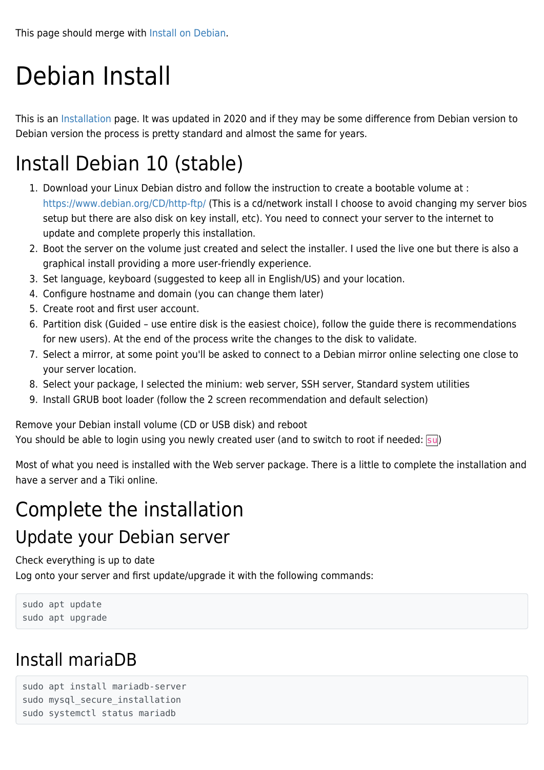# Debian Install

This is an [Installation](https://doc.tiki.org/Installation) page. It was updated in 2020 and if they may be some difference from Debian version to Debian version the process is pretty standard and almost the same for years.

### Install Debian 10 (stable)

- 1. Download your Linux Debian distro and follow the instruction to create a bootable volume at : <https://www.debian.org/CD/http-ftp/> (This is a cd/network install I choose to avoid changing my server bios setup but there are also disk on key install, etc). You need to connect your server to the internet to update and complete properly this installation.
- 2. Boot the server on the volume just created and select the installer. I used the live one but there is also a graphical install providing a more user-friendly experience.
- 3. Set language, keyboard (suggested to keep all in English/US) and your location.
- 4. Configure hostname and domain (you can change them later)
- 5. Create root and first user account.
- 6. Partition disk (Guided use entire disk is the easiest choice), follow the guide there is recommendations for new users). At the end of the process write the changes to the disk to validate.
- 7. Select a mirror, at some point you'll be asked to connect to a Debian mirror online selecting one close to your server location.
- 8. Select your package, I selected the minium: web server, SSH server, Standard system utilities
- 9. Install GRUB boot loader (follow the 2 screen recommendation and default selection)

Remove your Debian install volume (CD or USB disk) and reboot

You should be able to login using you newly created user (and to switch to root if needed: su)

Most of what you need is installed with the Web server package. There is a little to complete the installation and have a server and a Tiki online.

## Complete the installation

#### Update your Debian server

Check everything is up to date

Log onto your server and first update/upgrade it with the following commands:

sudo apt update sudo apt upgrade

### Install mariaDB

```
sudo apt install mariadb-server
sudo mysql secure installation
sudo systemctl status mariadb
```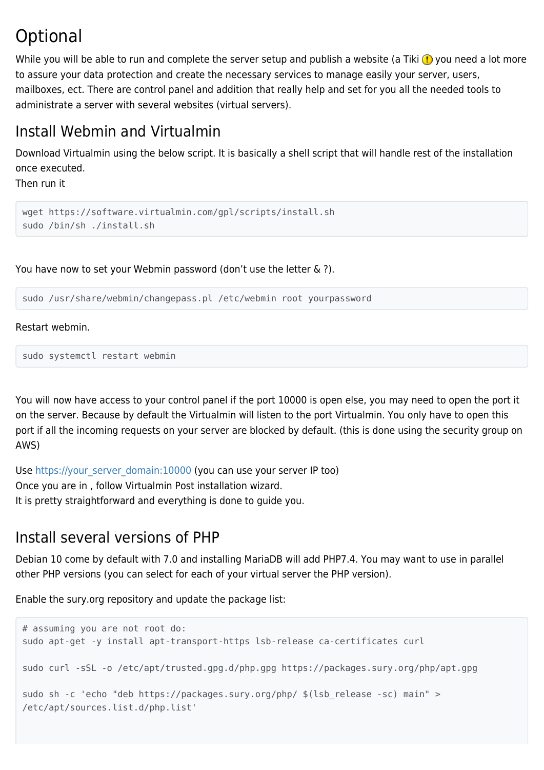#### **Optional**

While you will be able to run and complete the server setup and publish a website (a Tiki  $\bigoplus$  you need a lot more to assure your data protection and create the necessary services to manage easily your server, users, mailboxes, ect. There are control panel and addition that really help and set for you all the needed tools to administrate a server with several websites (virtual servers).

#### Install Webmin and Virtualmin

Download Virtualmin using the below script. It is basically a shell script that will handle rest of the installation once executed.

Then run it

```
wget https://software.virtualmin.com/gpl/scripts/install.sh
sudo /bin/sh ./install.sh
```
You have now to set your Webmin password (don't use the letter & ?).

sudo /usr/share/webmin/changepass.pl /etc/webmin root yourpassword

Restart webmin.

sudo systemctl restart webmin

You will now have access to your control panel if the port 10000 is open else, you may need to open the port it on the server. Because by default the Virtualmin will listen to the port Virtualmin. You only have to open this port if all the incoming requests on your server are blocked by default. (this is done using the security group on AWS)

Use [https://your\\_server\\_domain:10000](#page--1-0) (you can use your server IP too) Once you are in , follow Virtualmin Post installation wizard. It is pretty straightforward and everything is done to guide you.

#### Install several versions of PHP

Debian 10 come by default with 7.0 and installing MariaDB will add PHP7.4. You may want to use in parallel other PHP versions (you can select for each of your virtual server the PHP version).

Enable the sury.org repository and update the package list:

```
# assuming you are not root do:
sudo apt-get -y install apt-transport-https lsb-release ca-certificates curl
sudo curl -sSL -o /etc/apt/trusted.gpg.d/php.gpg https://packages.sury.org/php/apt.gpg
sudo sh -c 'echo "deb https://packages.sury.org/php/ $(lsb_release -sc) main" >
/etc/apt/sources.list.d/php.list'
```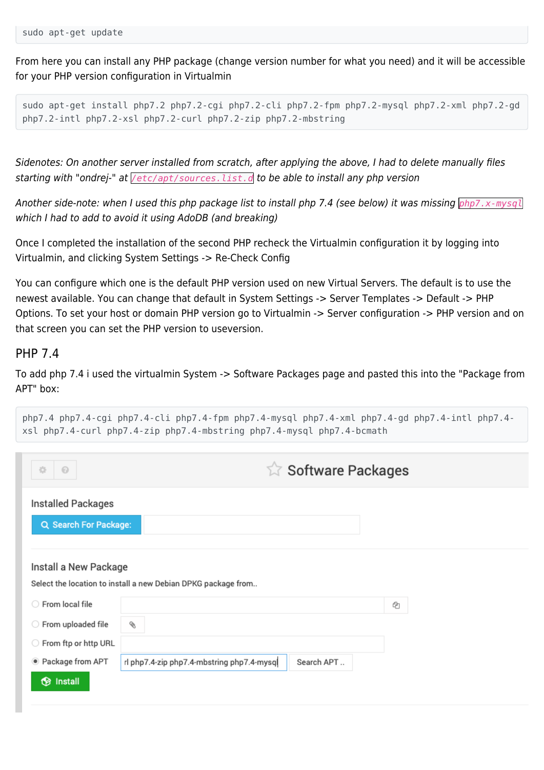From here you can install any PHP package (change version number for what you need) and it will be accessible for your PHP version configuration in Virtualmin

```
sudo apt-get install php7.2 php7.2-cgi php7.2-cli php7.2-fpm php7.2-mysql php7.2-xml php7.2-gd
php7.2-intl php7.2-xsl php7.2-curl php7.2-zip php7.2-mbstring
```
Sidenotes: On another server installed from scratch, after applying the above, I had to delete manually files starting with "ondrej-" at */etc/apt/sources.list.d* to be able to install any php version

Another side-note: when I used this php package list to install php 7.4 (see below) it was missing *php7.x-mysql* which I had to add to avoid it using AdoDB (and breaking)

Once I completed the installation of the second PHP recheck the Virtualmin configuration it by logging into Virtualmin, and clicking System Settings -> Re-Check Config

You can configure which one is the default PHP version used on new Virtual Servers. The default is to use the newest available. You can change that default in System Settings -> Server Templates -> Default -> PHP Options. To set your host or domain PHP version go to Virtualmin -> Server configuration -> PHP version and on that screen you can set the PHP version to useversion.

#### PHP 7.4

To add php 7.4 i used the virtualmin System -> Software Packages page and pasted this into the "Package from APT" box:

| $_{\odot}$<br>烧        |                                                               | <b>Software Packages</b> |   |
|------------------------|---------------------------------------------------------------|--------------------------|---|
| Installed Packages     |                                                               |                          |   |
| Q Search For Package:  |                                                               |                          |   |
|                        |                                                               |                          |   |
|                        |                                                               |                          |   |
| Install a New Package  | Select the location to install a new Debian DPKG package from |                          |   |
| ○ From local file      |                                                               |                          | € |
| ○ From uploaded file   | §                                                             |                          |   |
| ◯ From ftp or http URL |                                                               |                          |   |

php7.4 php7.4-cgi php7.4-cli php7.4-fpm php7.4-mysql php7.4-xml php7.4-gd php7.4-intl php7.4 xsl php7.4-curl php7.4-zip php7.4-mbstring php7.4-mysql php7.4-bcmath